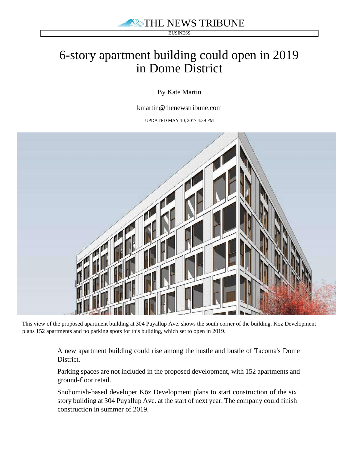THE NEWS TRIBUNE

**BUSINESS** 

## 6-story apartment building could open in 2019 in Dome District

By Kate Martin

kmartin@thenewstribune.com

UPDATED MAY 10, 2017 4:39 PM



This view of the proposed apartment building at 304 Puyallup Ave. shows the south corner of the building. Koz Development plans 152 apartments and no parking spots for this building, which set to open in 2019.

> A new apartment building could rise among the hustle and bustle of Tacoma's Dome District.

> Parking spaces are not included in the proposed development, with 152 apartments and ground-floor retail.

Snohomish-based developer Kōz Development plans to start construction of the six story building at 304 Puyallup Ave. at the start of next year. The company could finish construction in summer of 2019.